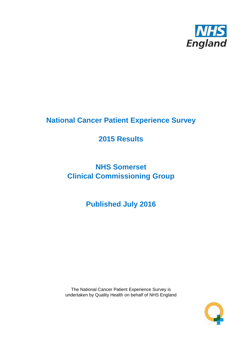

# **National Cancer Patient Experience Survey**

# **2015 Results**

# **NHS Somerset Clinical Commissioning Group**

**Published July 2016**

The National Cancer Patient Experience Survey is undertaken by Quality Health on behalf of NHS England

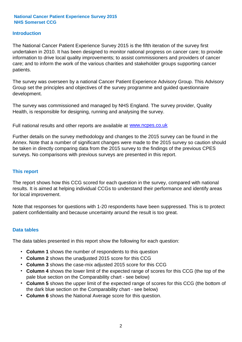#### **Introduction**

The National Cancer Patient Experience Survey 2015 is the fifth iteration of the survey first undertaken in 2010. It has been designed to monitor national progress on cancer care; to provide information to drive local quality improvements; to assist commissioners and providers of cancer care; and to inform the work of the various charities and stakeholder groups supporting cancer patients.

The survey was overseen by a national Cancer Patient Experience Advisory Group. This Advisory Group set the principles and objectives of the survey programme and guided questionnaire development.

The survey was commissioned and managed by NHS England. The survey provider, Quality Health, is responsible for designing, running and analysing the survey.

Full national results and other reports are available at www.ncpes.co.uk

Further details on the survey methodology and changes to the 2015 survey can be found in the Annex. Note that a number of significant changes were made to the 2015 survey so caution should be taken in directly comparing data from the 2015 survey to the findings of the previous CPES surveys. No comparisons with previous surveys are presented in this report.

#### **This report**

The report shows how this CCG scored for each question in the survey, compared with national results. It is aimed at helping individual CCGs to understand their performance and identify areas for local improvement.

Note that responses for questions with 1-20 respondents have been suppressed. This is to protect patient confidentiality and because uncertainty around the result is too great.

#### **Data tables**

The data tables presented in this report show the following for each question:

- **Column 1** shows the number of respondents to this question
- **Column 2** shows the unadjusted 2015 score for this CCG
- **Column 3** shows the case-mix adjusted 2015 score for this CCG
- **Column 4** shows the lower limit of the expected range of scores for this CCG (the top of the pale blue section on the Comparability chart - see below)
- **Column 5** shows the upper limit of the expected range of scores for this CCG (the bottom of the dark blue section on the Comparability chart - see below)
- **Column 6** shows the National Average score for this question.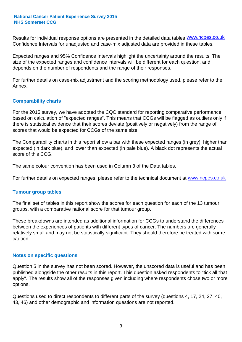Results for individual response options are presented in the detailed data tables **WWW.ncpes.co.uk** Confidence Intervals for unadjusted and case-mix adjusted data are provided in these tables.

Expected ranges and 95% Confidence Intervals highlight the uncertainty around the results. The size of the expected ranges and confidence intervals will be different for each question, and depends on the number of respondents and the range of their responses.

For further details on case-mix adjustment and the scoring methodology used, please refer to the Annex.

#### **Comparability charts**

For the 2015 survey, we have adopted the CQC standard for reporting comparative performance, based on calculation of "expected ranges". This means that CCGs will be flagged as outliers only if there is statistical evidence that their scores deviate (positively or negatively) from the range of scores that would be expected for CCGs of the same size.

The Comparability charts in this report show a bar with these expected ranges (in grey), higher than expected (in dark blue), and lower than expected (in pale blue). A black dot represents the actual score of this CCG.

The same colour convention has been used in Column 3 of the Data tables.

For further details on expected ranges, please refer to the technical document at **www.ncpes.co.uk** 

#### **Tumour group tables**

The final set of tables in this report show the scores for each question for each of the 13 tumour groups, with a comparative national score for that tumour group.

These breakdowns are intended as additional information for CCGs to understand the differences between the experiences of patients with different types of cancer. The numbers are generally relatively small and may not be statistically significant. They should therefore be treated with some caution.

#### **Notes on specific questions**

Question 5 in the survey has not been scored. However, the unscored data is useful and has been published alongside the other results in this report. This question asked respondents to "tick all that apply". The results show all of the responses given including where respondents chose two or more options.

Questions used to direct respondents to different parts of the survey (questions 4, 17, 24, 27, 40, 43, 46) and other demographic and information questions are not reported.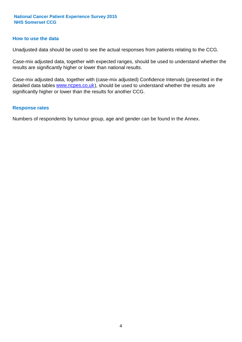#### **How to use the data**

Unadjusted data should be used to see the actual responses from patients relating to the CCG.

Case-mix adjusted data, together with expected ranges, should be used to understand whether the results are significantly higher or lower than national results.

Case-mix adjusted data, together with (case-mix adjusted) Confidence Intervals (presented in the detailed data tables **www.ncpes.co.uk**), should be used to understand whether the results are significantly higher or lower than the results for another CCG.

#### **Response rates**

Numbers of respondents by tumour group, age and gender can be found in the Annex.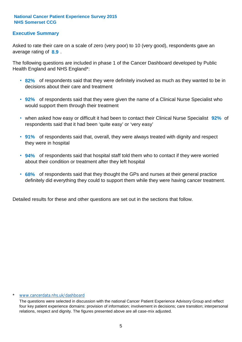#### **Executive Summary**

average rating of **8.9**. Asked to rate their care on a scale of zero (very poor) to 10 (very good), respondents gave an

The following questions are included in phase 1 of the Cancer Dashboard developed by Public Health England and NHS England\*:

- **82%** of respondents said that they were definitely involved as much as they wanted to be in decisions about their care and treatment
- **92%** of respondents said that they were given the name of a Clinical Nurse Specialist who would support them through their treatment
- when asked how easy or difficult it had been to contact their Clinical Nurse Specialist 92% of respondents said that it had been 'quite easy' or 'very easy'
- **91%** of respondents said that, overall, they were always treated with dignity and respect they were in hospital
- **94%** of respondents said that hospital staff told them who to contact if they were worried about their condition or treatment after they left hospital
- **68%** of respondents said that they thought the GPs and nurses at their general practice definitely did everything they could to support them while they were having cancer treatment.

Detailed results for these and other questions are set out in the sections that follow.

#### \* www.cancerdata.nhs.uk/dashboard

The questions were selected in discussion with the national Cancer Patient Experience Advisory Group and reflect four key patient experience domains: provision of information; involvement in decisions; care transition; interpersonal relations, respect and dignity. The figures presented above are all case-mix adjusted.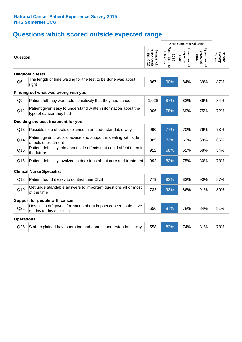# **Questions which scored outside expected range**

|                   |                                                                                            |                                          | 2015 Case-mix Adjusted             |                                     |                                     |                             |
|-------------------|--------------------------------------------------------------------------------------------|------------------------------------------|------------------------------------|-------------------------------------|-------------------------------------|-----------------------------|
| Question          |                                                                                            | respondents<br>for this CCG<br>Number of | Percentage for<br>this CCG<br>2015 | Lower limit of<br>expected<br>range | Upper limit of<br>expected<br>range | Average<br>Nationa<br>Score |
|                   | <b>Diagnostic tests</b>                                                                    |                                          |                                    |                                     |                                     |                             |
| Q <sub>6</sub>    | The length of time waiting for the test to be done was about<br>right                      | 867                                      | 90%                                | 84%                                 | 89%                                 | 87%                         |
|                   | Finding out what was wrong with you                                                        |                                          |                                    |                                     |                                     |                             |
| Q <sub>9</sub>    | Patient felt they were told sensitively that they had cancer                               | 1,028                                    | 87%                                | 82%                                 | 86%                                 | 84%                         |
| Q11               | Patient given easy to understand written information about the<br>type of cancer they had  | 906                                      | 78%                                | 69%                                 | 75%                                 | 72%                         |
|                   | Deciding the best treatment for you                                                        |                                          |                                    |                                     |                                     |                             |
| Q13               | Possible side effects explained in an understandable way                                   | 990                                      | 77%                                | 70%                                 | 76%                                 | 73%                         |
| Q14               | Patient given practical advice and support in dealing with side<br>effects of treatment    | 985                                      | 72%                                | 63%                                 | 69%                                 | 66%                         |
| Q15               | Patient definitely told about side effects that could affect them in<br>the future         | 912                                      | 58%                                | 51%                                 | 58%                                 | 54%                         |
| Q16               | Patient definitely involved in decisions about care and treatment                          | 992                                      | 82%                                | 75%                                 | 80%                                 | 78%                         |
|                   | <b>Clinical Nurse Specialist</b>                                                           |                                          |                                    |                                     |                                     |                             |
| Q18               | Patient found it easy to contact their CNS                                                 | 779                                      | 92%                                | 83%                                 | 90%                                 | 87%                         |
| Q19               | Get understandable answers to important questions all or most<br>of the time               | 732                                      | 92%                                | 86%                                 | 91%                                 | 89%                         |
|                   | Support for people with cancer                                                             |                                          |                                    |                                     |                                     |                             |
| Q <sub>21</sub>   | Hospital staff gave information about impact cancer could have<br>on day to day activities | 656                                      | 87%                                | 78%                                 | 84%                                 | 81%                         |
| <b>Operations</b> |                                                                                            |                                          |                                    |                                     |                                     |                             |
| Q26               | Staff explained how operation had gone in understandable way                               | 558                                      | 82%                                | 74%                                 | 81%                                 | 78%                         |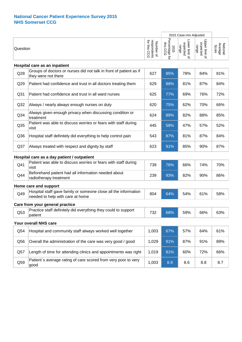|                 |                                                                                                     |                                          |                                             | 2015 Case-mix Adjusted              |                                     |                              |
|-----------------|-----------------------------------------------------------------------------------------------------|------------------------------------------|---------------------------------------------|-------------------------------------|-------------------------------------|------------------------------|
| Question        |                                                                                                     | respondents<br>for this CCG<br>Number of | Percentage<br>this CCG<br>2015<br>$\vec{c}$ | Lower limit of<br>expected<br>range | Upper limit of<br>expected<br>range | National<br>Average<br>Score |
|                 | Hospital care as an inpatient                                                                       |                                          |                                             |                                     |                                     |                              |
| Q28             | Groups of doctors or nurses did not talk in front of patient as if<br>they were not there           | 627                                      | 85%                                         | 78%                                 | 84%                                 | 81%                          |
| Q29             | Patient had confidence and trust in all doctors treating them                                       | 629                                      | 88%                                         | 81%                                 | 87%                                 | 84%                          |
| Q <sub>31</sub> | Patient had confidence and trust in all ward nurses                                                 | 625                                      | 77%                                         | 69%                                 | 76%                                 | 72%                          |
| Q <sub>32</sub> | Always / nearly always enough nurses on duty                                                        | 620                                      | 75%                                         | 62%                                 | 70%                                 | 66%                          |
| Q <sub>34</sub> | Always given enough privacy when discussing condition or<br>treatment                               | 624                                      | 89%                                         | 82%                                 | 88%                                 | 85%                          |
| Q35             | Patient was able to discuss worries or fears with staff during<br>visit                             | 445                                      | 58%                                         | 47%                                 | 57%                                 | 52%                          |
| Q36             | Hospital staff definitely did everything to help control pain                                       | 543                                      | 87%                                         | 81%                                 | 87%                                 | 84%                          |
| Q <sub>37</sub> | Always treated with respect and dignity by staff                                                    | 623                                      | 91%                                         | 85%                                 | 90%                                 | 87%                          |
|                 | Hospital care as a day patient / outpatient                                                         |                                          |                                             |                                     |                                     |                              |
| Q41             | Patient was able to discuss worries or fears with staff during<br>visit                             | 739                                      | 76%                                         | 66%                                 | 74%                                 | 70%                          |
| Q44             | Beforehand patient had all information needed about<br>radiotherapy treatment                       | 239                                      | 93%                                         | 82%                                 | 90%                                 | 86%                          |
|                 | Home care and support                                                                               |                                          |                                             |                                     |                                     |                              |
| Q49             | Hospital staff gave family or someone close all the information<br>needed to help with care at home | 804                                      | 64%                                         | 54%                                 | 61%                                 | 58%                          |
|                 | Care from your general practice                                                                     |                                          |                                             |                                     |                                     |                              |
| Q53             | Practice staff definitely did everything they could to support<br>patient                           | 732                                      | 68%                                         | 59%                                 | 66%                                 | 63%                          |
|                 | Your overall NHS care                                                                               |                                          |                                             |                                     |                                     |                              |
| Q54             | Hospital and community staff always worked well together                                            | 1,003                                    | 67%                                         | 57%                                 | 64%                                 | 61%                          |
| Q56             | Overall the administration of the care was very good / good                                         | 1,029                                    | 91%                                         | 87%                                 | 91%                                 | 89%                          |
| Q57             | Length of time for attending clinics and appointments was right                                     | 1,019                                    | 81%                                         | 60%                                 | 72%                                 | 66%                          |
| Q59             | Patient's average rating of care scored from very poor to very<br>good                              | 1,003                                    | 8.9                                         | 8.6                                 | 8.8                                 | 8.7                          |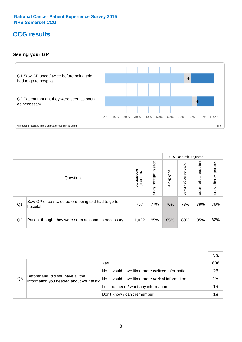### **CCG results**

#### **Seeing your GP**



|    |                                                                |                                              |                             |               | 2015 Case-mix Adjusted     |                            |                           |
|----|----------------------------------------------------------------|----------------------------------------------|-----------------------------|---------------|----------------------------|----------------------------|---------------------------|
|    | Question                                                       | respondents<br>Number<br>$\overline{\sigma}$ | 2015<br>Unadjusted<br>Score | 2015<br>Score | Expected<br>range<br>lower | Expected<br>range<br>nbber | National Average<br>Score |
| Q1 | Saw GP once / twice before being told had to go to<br>hospital | 767                                          | 77%                         | 76%           | 73%                        | 79%                        | 76%                       |
| Q2 | Patient thought they were seen as soon as necessary            | 1,022                                        | 85%                         | 85%           | 80%                        | 85%                        | 82%                       |

|    |                                                                             |                                                 | No. |
|----|-----------------------------------------------------------------------------|-------------------------------------------------|-----|
|    | Beforehand, did you have all the<br>information you needed about your test? | Yes                                             | 808 |
|    |                                                                             | No, I would have liked more written information | 28  |
| Q5 |                                                                             | No, I would have liked more verbal information  | 25  |
|    |                                                                             | I did not need / want any information           | 19  |
|    |                                                                             | Don't know / can't remember                     | 18  |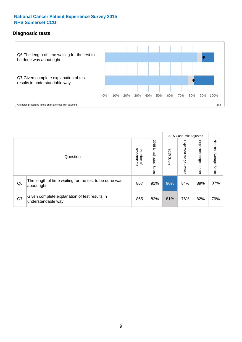### **Diagnostic tests**



|                |                                                                       |                                       |                             |               | 2015 Case-mix Adjusted  |                         |                           |
|----------------|-----------------------------------------------------------------------|---------------------------------------|-----------------------------|---------------|-------------------------|-------------------------|---------------------------|
|                | Question                                                              | respondents<br>Number<br>$\mathbf{Q}$ | 2015<br>Unadjusted<br>Score | 2015<br>Score | Expected range<br>lower | Expected range<br>nbber | National Average<br>Score |
| Q <sub>6</sub> | The length of time waiting for the test to be done was<br>about right | 867                                   | 91%                         | 90%           | 84%                     | 89%                     | 87%                       |
| Q7             | Given complete explanation of test results in<br>understandable way   | 865                                   | 82%                         | 81%           | 76%                     | 82%                     | 79%                       |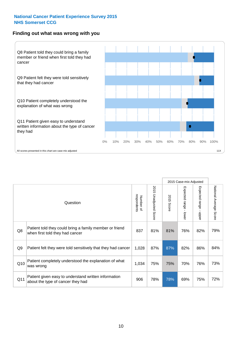#### **Finding out what was wrong with you**



|     |                                                                                            |                          |                       |            | 2015 Case-mix Adjusted |                                         |                        |
|-----|--------------------------------------------------------------------------------------------|--------------------------|-----------------------|------------|------------------------|-----------------------------------------|------------------------|
|     | Question                                                                                   | respondents<br>Number of | 2015 Unadjusted Score | 2015 Score | Expected range - lower | Expected range<br>$\mathbf{I}$<br>nbber | National Average Score |
| Q8  | Patient told they could bring a family member or friend<br>when first told they had cancer | 837                      | 81%                   | 81%        | 76%                    | 82%                                     | 79%                    |
| Q9  | Patient felt they were told sensitively that they had cancer                               | 1,028                    | 87%                   | 87%        | 82%                    | 86%                                     | 84%                    |
| Q10 | Patient completely understood the explanation of what<br>was wrong                         | 1,034                    | 75%                   | 75%        | 70%                    | 76%                                     | 73%                    |
| Q11 | Patient given easy to understand written information<br>about the type of cancer they had  | 906                      | 78%                   | 78%        | 69%                    | 75%                                     | 72%                    |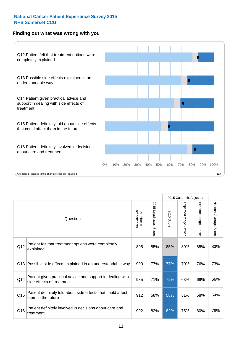#### **Finding out what was wrong with you**



|                 |                                                                                         |                          |                       |               | 2015 Case-mix Adjusted                    |                           |                        |
|-----------------|-----------------------------------------------------------------------------------------|--------------------------|-----------------------|---------------|-------------------------------------------|---------------------------|------------------------|
| Question        |                                                                                         | respondents<br>Number of | 2015 Unadjusted Score | 2015<br>Score | Expected range<br>$\blacksquare$<br>lower | Expected range -<br>nbber | National Average Score |
| Q12             | Patient felt that treatment options were completely<br>explained                        | 895                      | 85%                   | 85%           | 80%                                       | 85%                       | 83%                    |
| Q13             | Possible side effects explained in an understandable way                                | 990                      | 77%                   | 77%           | 70%                                       | 76%                       | 73%                    |
| Q14             | Patient given practical advice and support in dealing with<br>side effects of treatment | 985                      | 71%                   | 72%           | 63%                                       | 69%                       | 66%                    |
| Q <sub>15</sub> | Patient definitely told about side effects that could affect<br>them in the future      | 912                      | 58%                   | 58%           | 51%                                       | 58%                       | 54%                    |
| Q16             | Patient definitely involved in decisions about care and<br>treatment                    | 992                      | 82%                   | 82%           | 75%                                       | 80%                       | 78%                    |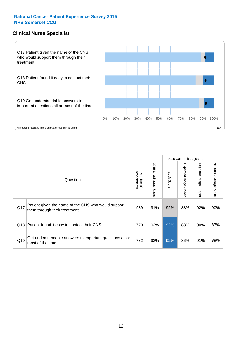#### **Clinical Nurse Specialist**



|     |                                                                                     |                          |                       | 2015 Case-mix Adjusted |                         |                            |                           |
|-----|-------------------------------------------------------------------------------------|--------------------------|-----------------------|------------------------|-------------------------|----------------------------|---------------------------|
|     | Question                                                                            | respondents<br>Number of | 2015 Unadjusted Score | 2015<br>Score          | Expected range<br>lower | Expected<br>range<br>nbber | National Average<br>Score |
| Q17 | Patient given the name of the CNS who would support<br>them through their treatment | 989                      | 91%                   | 92%                    | 88%                     | 92%                        | 90%                       |
| Q18 | Patient found it easy to contact their CNS                                          | 779                      | 92%                   | 92%                    | 83%                     | 90%                        | 87%                       |
| Q19 | Get understandable answers to important questions all or<br>most of the time        | 732                      | 92%                   | 92%                    | 86%                     | 91%                        | 89%                       |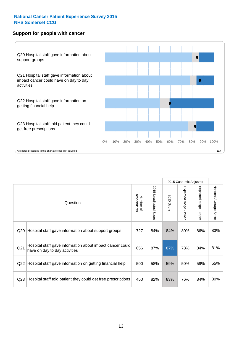#### **Support for people with cancer**



|                 |                                                                                            |                          |                                 |               | 2015 Case-mix Adjusted  |                                         |                        |
|-----------------|--------------------------------------------------------------------------------------------|--------------------------|---------------------------------|---------------|-------------------------|-----------------------------------------|------------------------|
|                 | Question                                                                                   | respondents<br>Number of | 2015<br><b>Unadjusted Score</b> | 2015<br>Score | Expected range<br>lower | Expected range<br>$\mathbf{I}$<br>nbber | National Average Score |
| Q <sub>20</sub> | Hospital staff gave information about support groups                                       | 727                      | 84%                             | 84%           | 80%                     | 86%                                     | 83%                    |
| Q <sub>21</sub> | Hospital staff gave information about impact cancer could<br>have on day to day activities | 656                      | 87%                             | 87%           | 78%                     | 84%                                     | 81%                    |
| Q22             | Hospital staff gave information on getting financial help                                  | 500                      | 58%                             | 59%           | 50%                     | 59%                                     | 55%                    |
| Q <sub>23</sub> | Hospital staff told patient they could get free prescriptions                              | 450                      | 82%                             | 83%           | 76%                     | 84%                                     | 80%                    |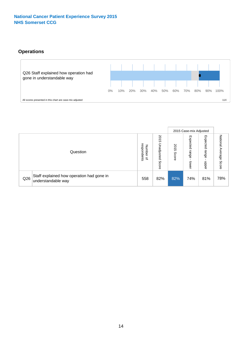#### **Operations**



|     |                                                                 |                                              |                             |                       | 2015 Case-mix Adjusted     |                           |                              |
|-----|-----------------------------------------------------------------|----------------------------------------------|-----------------------------|-----------------------|----------------------------|---------------------------|------------------------------|
|     | Question                                                        | respondents<br>Number<br>$\overline{\sigma}$ | 2015<br>Unadjusted<br>Score | SO<br>∸<br>ທ<br>Score | Expected<br>range<br>lower | Expected<br>range<br>ddoe | National<br>Average<br>Score |
| Q26 | Staff explained how operation had gone in<br>understandable way | 558                                          | 82%                         | 82%                   | 74%                        | 81%                       | 78%                          |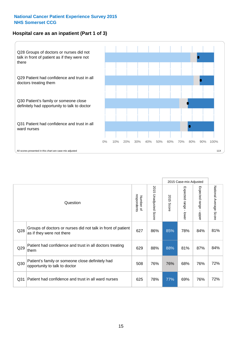#### **Hospital care as an inpatient (Part 1 of 3)**



All scores presented in this chart are case-mix adjusted  $11X$ 

|                 |                                                                                           |                          |                                 |                      | 2015 Case-mix Adjusted                  |                                         |                        |
|-----------------|-------------------------------------------------------------------------------------------|--------------------------|---------------------------------|----------------------|-----------------------------------------|-----------------------------------------|------------------------|
|                 | Question                                                                                  | respondents<br>Number of | 2015<br><b>Unadjusted Score</b> | 2015<br><b>Score</b> | Expected range<br>$\mathbf{r}$<br>lower | Expected range<br>$\mathbf{I}$<br>nbber | National Average Score |
| Q28             | Groups of doctors or nurses did not talk in front of patient<br>as if they were not there | 627                      | 86%                             | 85%                  | 78%                                     | 84%                                     | 81%                    |
| Q29             | Patient had confidence and trust in all doctors treating<br>them                          | 629                      | 88%                             | 88%                  | 81%                                     | 87%                                     | 84%                    |
| Q30             | Patient's family or someone close definitely had<br>opportunity to talk to doctor         | 508                      | 76%                             | 76%                  | 68%                                     | 76%                                     | 72%                    |
| Q <sub>31</sub> | Patient had confidence and trust in all ward nurses                                       | 625                      | 78%                             | 77%                  | 69%                                     | 76%                                     | 72%                    |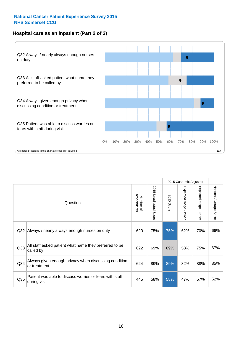#### **Hospital care as an inpatient (Part 2 of 3)**



|                 |                                                                         |                          |                       |               | 2015 Case-mix Adjusted     |                                           |                        |
|-----------------|-------------------------------------------------------------------------|--------------------------|-----------------------|---------------|----------------------------|-------------------------------------------|------------------------|
|                 | Question                                                                | respondents<br>Number of | 2015 Unadjusted Score | 2015<br>Score | Expected range -<br>-lower | Expected range<br>$\blacksquare$<br>nbber | National Average Score |
| Q <sub>32</sub> | Always / nearly always enough nurses on duty                            | 620                      | 75%                   | 75%           | 62%                        | 70%                                       | 66%                    |
| Q <sub>33</sub> | All staff asked patient what name they preferred to be<br>called by     | 622                      | 69%                   | 69%           | 58%                        | 75%                                       | 67%                    |
| Q <sub>34</sub> | Always given enough privacy when discussing condition<br>or treatment   | 624                      | 89%                   | 89%           | 82%                        | 88%                                       | 85%                    |
| Q <sub>35</sub> | Patient was able to discuss worries or fears with staff<br>during visit | 445                      | 58%                   | 58%           | 47%                        | 57%                                       | 52%                    |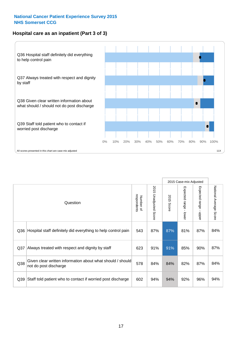#### **Hospital care as an inpatient (Part 3 of 3)**



|                 |                                                                                     |                          |                                 | 2015 Case-mix Adjusted |                                           |                           |                        |
|-----------------|-------------------------------------------------------------------------------------|--------------------------|---------------------------------|------------------------|-------------------------------------------|---------------------------|------------------------|
|                 | Question                                                                            | respondents<br>Number of | 2015<br><b>Unadjusted Score</b> | 2015<br>Score          | Expected range<br>$\blacksquare$<br>lower | Expected range -<br>nbber | National Average Score |
| Q36             | Hospital staff definitely did everything to help control pain                       | 543                      | 87%                             | 87%                    | 81%                                       | 87%                       | 84%                    |
| Q37             | Always treated with respect and dignity by staff                                    | 623                      | 91%                             | 91%                    | 85%                                       | 90%                       | 87%                    |
| Q38             | Given clear written information about what should / should<br>not do post discharge | 578                      | 84%                             | 84%                    | 82%                                       | 87%                       | 84%                    |
| Q <sub>39</sub> | Staff told patient who to contact if worried post discharge                         | 602                      | 94%                             | 94%                    | 92%                                       | 96%                       | 94%                    |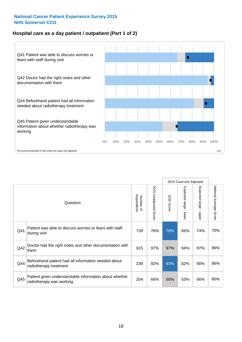#### **Hospital care as a day patient / outpatient (Part 1 of 2)**



|     |                                                                                    |                          |                          | 2015 Case-mix Adjusted |                         |                                           |                        |
|-----|------------------------------------------------------------------------------------|--------------------------|--------------------------|------------------------|-------------------------|-------------------------------------------|------------------------|
|     | Question                                                                           | respondents<br>Number of | 2015<br>Unadjusted Score | 2015<br>Score          | Expected range<br>lower | Expected range<br>$\blacksquare$<br>nbber | National Average Score |
| Q41 | Patient was able to discuss worries or fears with staff<br>during visit            | 739                      | 76%                      | 76%                    | 66%                     | 74%                                       | 70%                    |
| Q42 | Doctor had the right notes and other documentation with<br>them                    | 915                      | 97%                      | 97%                    | 94%                     | 97%                                       | 96%                    |
| Q44 | Beforehand patient had all information needed about<br>radiotherapy treatment      | 239                      | 92%                      | 93%                    | 82%                     | 90%                                       | 86%                    |
| Q45 | Patient given understandable information about whether<br>radiotherapy was working | 204                      | 66%                      | 66%                    | 53%                     | 66%                                       | 60%                    |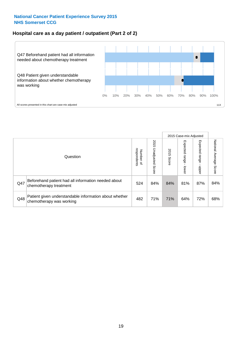#### **Hospital care as a day patient / outpatient (Part 2 of 2)**



|     |                                                                                    |                                       |                             | 2015 Case-mix Adjusted |                             |                         |                           |
|-----|------------------------------------------------------------------------------------|---------------------------------------|-----------------------------|------------------------|-----------------------------|-------------------------|---------------------------|
|     | Question                                                                           | respondents<br>Number<br>$\mathbf{Q}$ | 2015<br>Unadjusted<br>Score | 2015<br>Score          | Expected<br>Irange<br>lower | Expected range<br>doper | National Average<br>Score |
| Q47 | Beforehand patient had all information needed about<br>chemotherapy treatment      | 524                                   | 84%                         | 84%                    | 81%                         | 87%                     | 84%                       |
| Q48 | Patient given understandable information about whether<br>chemotherapy was working | 482                                   | 71%                         | 71%                    | 64%                         | 72%                     | 68%                       |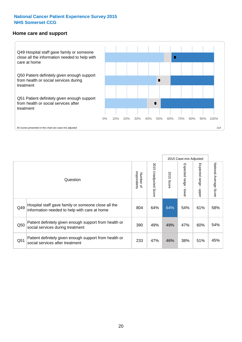#### **Home care and support**



2015 Case-mix Adjusted 2015 Unadjusted Score Expected range - upper National Average Score 2015 Unadjusted Score Expected range - lower National Average Score Expected range - lower Expected range - upper Number of<br>respondents respondents 2015 Score 2015 Score Number of Question Hospital staff gave family or someone close all the  $Q49$  information needed to help with care at home  $Q49$  64% 64% 64% 61% 61% 58% Patient definitely given enough support from health or Q50 social services during treatment 390 49% 49% 47% 60% 54% Patient definitely given enough support from health or Q51 social services after treatment 233 47% 46% 38% 51% 45%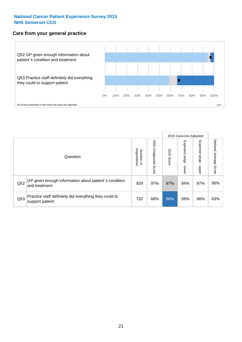#### **Care from your general practice**



|     |                                                                           |                                   |                             | 2015 Case-mix Adjusted |                             |                            |                           |
|-----|---------------------------------------------------------------------------|-----------------------------------|-----------------------------|------------------------|-----------------------------|----------------------------|---------------------------|
|     | Question                                                                  | respondents<br>Number<br>$\Omega$ | 2015<br>Unadjusted<br>Score | 2015<br>Score          | Expected<br> range<br>lower | Expected<br>range<br>nbber | National Average<br>Score |
| Q52 | GP given enough information about patient's condition<br>and treatment    | 929                               | 97%                         | 97%                    | 94%                         | 97%                        | 95%                       |
| Q53 | Practice staff definitely did everything they could to<br>support patient | 732                               | 68%                         | 68%                    | 59%                         | 66%                        | 63%                       |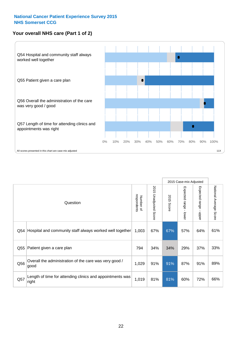#### **Your overall NHS care (Part 1 of 2)**



|     |                                                                    |                          |                                 | 2015 Case-mix Adjusted |                         |                                           |                        |
|-----|--------------------------------------------------------------------|--------------------------|---------------------------------|------------------------|-------------------------|-------------------------------------------|------------------------|
|     | Question                                                           | respondents<br>Number of | 2015<br><b>Unadjusted Score</b> | 2015<br><b>Score</b>   | Expected range<br>lower | Expected range<br>$\blacksquare$<br>nbber | National Average Score |
| Q54 | Hospital and community staff always worked well together           | 1,003                    | 67%                             | 67%                    | 57%                     | 64%                                       | 61%                    |
| Q55 | Patient given a care plan                                          | 794                      | 34%                             | 34%                    | 29%                     | 37%                                       | 33%                    |
| Q56 | Overall the administration of the care was very good /<br>good     | 1,029                    | 91%                             | 91%                    | 87%                     | 91%                                       | 89%                    |
| Q57 | Length of time for attending clinics and appointments was<br>right | 1,019                    | 81%                             | 81%                    | 60%                     | 72%                                       | 66%                    |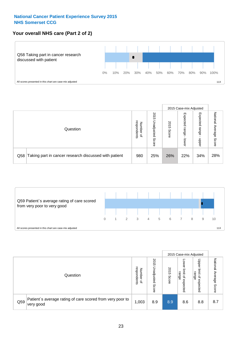#### **Your overall NHS care (Part 2 of 2)**



|     |                                                       |                                   |                             | 2015 Case-mix Adjusted |                            |                            |                        |
|-----|-------------------------------------------------------|-----------------------------------|-----------------------------|------------------------|----------------------------|----------------------------|------------------------|
|     | Question                                              | respondents<br>Number<br>$\Omega$ | 2015<br>Unadjusted<br>Score | 2015<br>Score          | Expected<br>range<br>lower | Expected<br>range<br>nbber | National Average Score |
| Q58 | Taking part in cancer research discussed with patient | 980                               | 25%                         | 26%                    | 22%                        | 34%                        | 28%                    |



|     |                                                                        |                                              |                             | 2015 Case-mix Adjusted |                                                    |                                                       |                              |
|-----|------------------------------------------------------------------------|----------------------------------------------|-----------------------------|------------------------|----------------------------------------------------|-------------------------------------------------------|------------------------------|
|     | Question                                                               | respondents<br>Number<br>$\overline{\sigma}$ | 2015<br>Jnadjusted<br>Score | 2015<br>Score          | OWer<br>limit<br>range<br>$\mathsf{a}$<br>expected | Upper<br>limit<br>range<br>$\overline{a}$<br>expected | National<br>Average<br>Score |
| Q59 | Patient's average rating of care scored from very poor to<br>very good | 1,003                                        | 8.9                         | 8.9                    | 8.6                                                | 8.8                                                   | 8.7                          |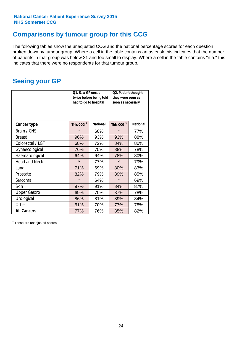### **Comparisons by tumour group for this CCG**

The following tables show the unadjusted CCG and the national percentage scores for each question broken down by tumour group. Where a cell in the table contains an asterisk this indicates that the number of patients in that group was below 21 and too small to display. Where a cell in the table contains "n.a." this indicates that there were no respondents for that tumour group.

### **Seeing your GP**

|                      | Q1. Saw GP once /<br>had to go to hospital | twice before being told | Q2. Patient thought<br>they were seen as<br>soon as necessary |                 |  |
|----------------------|--------------------------------------------|-------------------------|---------------------------------------------------------------|-----------------|--|
| <b>Cancer type</b>   | This CCG <sup>\$</sup>                     | <b>National</b>         | This CCG <sup>\$</sup>                                        | <b>National</b> |  |
| Brain / CNS          | $\star$                                    | 60%                     | $\star$                                                       | 77%             |  |
| <b>Breast</b>        | 96%                                        | 93%                     | 93%                                                           | 88%             |  |
| Colorectal / LGT     | 68%                                        | 72%                     | 84%                                                           | 80%             |  |
| Gynaecological       | 76%                                        | 75%                     | 88%                                                           | 78%             |  |
| Haematological       | 64%                                        | 64%                     | 78%                                                           | 80%             |  |
| <b>Head and Neck</b> | $\star$                                    | 77%                     | $\star$                                                       | 79%             |  |
| Lung                 | 71%                                        | 69%                     | 80%                                                           | 83%             |  |
| Prostate             | 82%                                        | 79%                     | 89%                                                           | 85%             |  |
| Sarcoma              | $\star$                                    | 64%                     | $\star$                                                       | 69%             |  |
| <b>Skin</b>          | 97%                                        | 91%                     | 84%                                                           | 87%             |  |
| <b>Upper Gastro</b>  | 69%                                        | 70%                     | 87%                                                           | 78%             |  |
| Urological           | 86%                                        | 81%                     | 89%                                                           | 84%             |  |
| Other                | 61%                                        | 70%                     | 77%                                                           | 78%             |  |
| <b>All Cancers</b>   | 77%                                        | 76%                     | 85%                                                           | 82%             |  |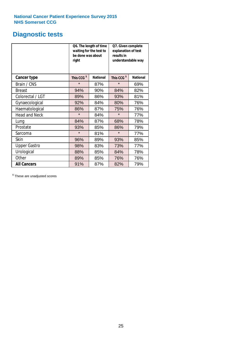### **Diagnostic tests**

|                      | be done was about<br>right | Q6. The length of time<br>waiting for the test to | Q7. Given complete<br>explanation of test<br>results in<br>understandable way |                 |  |
|----------------------|----------------------------|---------------------------------------------------|-------------------------------------------------------------------------------|-----------------|--|
| <b>Cancer type</b>   | This CCG <sup>\$</sup>     | <b>National</b>                                   | This CCG <sup>\$</sup>                                                        | <b>National</b> |  |
| Brain / CNS          | $\star$                    | 87%                                               | $\star$                                                                       | 69%             |  |
| <b>Breast</b>        | 94%                        | 90%                                               | 84%                                                                           | 82%             |  |
| Colorectal / LGT     | 89%                        | 86%                                               | 93%                                                                           | 81%             |  |
| Gynaecological       | 92%                        | 84%                                               | 80%                                                                           | 76%             |  |
| Haematological       | 86%                        | 87%                                               | 75%                                                                           | 76%             |  |
| <b>Head and Neck</b> | $\star$                    | 84%                                               | $\star$                                                                       | 77%             |  |
| Lung                 | 84%                        | 87%                                               | 68%                                                                           | 78%             |  |
| Prostate             | 93%                        | 85%                                               | 86%                                                                           | 79%             |  |
| Sarcoma              | $\star$                    | 81%                                               | $\star$                                                                       | 77%             |  |
| Skin                 | 96%                        | 89%                                               | 93%                                                                           | 85%             |  |
| <b>Upper Gastro</b>  | 98%                        | 83%                                               | 73%                                                                           | 77%             |  |
| Urological           | 88%                        | 85%                                               | 84%                                                                           | 78%             |  |
| Other                | 89%                        | 85%                                               | 76%                                                                           | 76%             |  |
| <b>All Cancers</b>   | 91%                        | 87%                                               | 82%                                                                           | 79%             |  |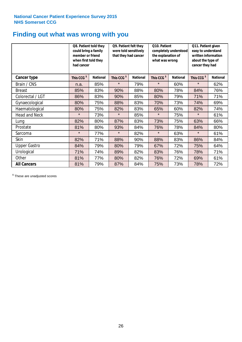### **Finding out what was wrong with you**

|                      | Q8. Patient told they<br>could bring a family<br>member or friend<br>when first told they<br>had cancer |                 | Q9. Patient felt they<br>were told sensitively<br>that they had cancer |                 | Q10. Patient<br>completely understood<br>the explanation of<br>what was wrong |                 | Q11. Patient given<br>easy to understand<br>written information<br>about the type of<br>cancer they had |                 |
|----------------------|---------------------------------------------------------------------------------------------------------|-----------------|------------------------------------------------------------------------|-----------------|-------------------------------------------------------------------------------|-----------------|---------------------------------------------------------------------------------------------------------|-----------------|
| Cancer type          | This CCG <sup>\$</sup>                                                                                  | <b>National</b> | This CCG <sup>\$</sup>                                                 | <b>National</b> | This CCG <sup>\$</sup>                                                        | <b>National</b> | This CCG <sup>\$</sup>                                                                                  | <b>National</b> |
| Brain / CNS          | n.a.                                                                                                    | 85%             | $\star$                                                                | 79%             | $\star$                                                                       | 60%             | $\star$                                                                                                 | 62%             |
| <b>Breast</b>        | 85%                                                                                                     | 83%             | 90%                                                                    | 88%             | 80%                                                                           | 78%             | 84%                                                                                                     | 76%             |
| Colorectal / LGT     | 86%                                                                                                     | 83%             | 90%                                                                    | 85%             | 80%                                                                           | 79%             | 71%                                                                                                     | 71%             |
| Gynaecological       | 80%                                                                                                     | 75%             | 88%                                                                    | 83%             | 70%                                                                           | 73%             | 74%                                                                                                     | 69%             |
| Haematological       | 80%                                                                                                     | 75%             | 82%                                                                    | 83%             | 65%                                                                           | 60%             | 82%                                                                                                     | 74%             |
| <b>Head and Neck</b> | $\star$                                                                                                 | 73%             | $\star$                                                                | 85%             | $\star$                                                                       | 75%             | $\star$                                                                                                 | 61%             |
| Lung                 | 82%                                                                                                     | 80%             | 87%                                                                    | 83%             | 73%                                                                           | 75%             | 63%                                                                                                     | 66%             |
| Prostate             | 81%                                                                                                     | 80%             | 93%                                                                    | 84%             | 76%                                                                           | 78%             | 84%                                                                                                     | 80%             |
| Sarcoma              | $\star$                                                                                                 | 77%             | $\star$                                                                | 82%             | $\star$                                                                       | 63%             | $\star$                                                                                                 | 61%             |
| Skin                 | 82%                                                                                                     | 71%             | 88%                                                                    | 90%             | 88%                                                                           | 83%             | 86%                                                                                                     | 84%             |
| <b>Upper Gastro</b>  | 84%                                                                                                     | 79%             | 80%                                                                    | 79%             | 67%                                                                           | 72%             | 75%                                                                                                     | 64%             |
| Urological           | 71%                                                                                                     | 74%             | 89%                                                                    | 82%             | 83%                                                                           | 76%             | 78%                                                                                                     | 71%             |
| Other                | 81%                                                                                                     | 77%             | 80%                                                                    | 82%             | 76%                                                                           | 72%             | 69%                                                                                                     | 61%             |
| <b>All Cancers</b>   | 81%                                                                                                     | 79%             | 87%                                                                    | 84%             | 75%                                                                           | 73%             | 78%                                                                                                     | 72%             |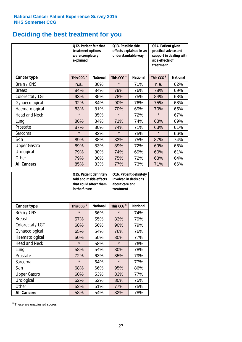# **Deciding the best treatment for you**

|                      | <b>O12. Patient felt that</b><br>treatment options<br>were completely<br>explained |                 | O13. Possible side<br>understandable way | effects explained in an | Q14. Patient given<br>practical advice and<br>support in dealing with<br>side effects of<br>treatment |                 |  |
|----------------------|------------------------------------------------------------------------------------|-----------------|------------------------------------------|-------------------------|-------------------------------------------------------------------------------------------------------|-----------------|--|
| <b>Cancer type</b>   | This CCG <sup>\$</sup>                                                             | <b>National</b> | This CCG <sup>\$</sup>                   | <b>National</b>         | This CCG <sup>\$</sup>                                                                                | <b>National</b> |  |
| Brain / CNS          | n.a.                                                                               | 80%             | $\star$                                  | 71%                     | n.a.                                                                                                  | 62%             |  |
| <b>Breast</b>        | 84%                                                                                | 84%             | 79%                                      | 76%                     | 78%                                                                                                   | 69%             |  |
| Colorectal / LGT     | 93%                                                                                | 85%             | 78%                                      | 75%                     | 84%                                                                                                   | 68%             |  |
| Gynaecological       | 92%                                                                                | 84%             | 90%                                      | 76%                     | 75%                                                                                                   | 68%             |  |
| Haematological       | 83%                                                                                | 81%             | 70%                                      | 69%                     | 70%                                                                                                   | 65%             |  |
| <b>Head and Neck</b> | $\star$                                                                            | 85%             | $\star$                                  | 72%                     | $\star$                                                                                               | 67%             |  |
| Lung                 | 86%                                                                                | 84%             | 71%                                      | 74%                     | 63%                                                                                                   | 69%             |  |
| Prostate             | 87%                                                                                | 80%             | 74%                                      | 71%                     | 63%                                                                                                   | 61%             |  |
| Sarcoma              | $\star$                                                                            | 82%             | $\star$                                  | 75%                     | $\star$                                                                                               | 66%             |  |
| Skin                 | 89%                                                                                | 88%             | 83%                                      | 75%                     | 87%                                                                                                   | 74%             |  |
| <b>Upper Gastro</b>  | 89%                                                                                | 83%             | 89%                                      | 72%                     | 69%                                                                                                   | 66%             |  |
| Urological           | 79%                                                                                | 80%             | 74%                                      | 69%                     | 60%                                                                                                   | 61%             |  |
| Other                | 79%                                                                                | 80%             | 75%                                      | 72%                     | 63%                                                                                                   | 64%             |  |
| <b>All Cancers</b>   | 85%                                                                                | 83%             | 77%                                      | 73%                     | 71%                                                                                                   | 66%             |  |

|                      | in the future          | Q15. Patient definitely<br>told about side effects<br>that could affect them | Q16. Patient definitely<br>involved in decisions<br>about care and<br>treatment |                 |  |
|----------------------|------------------------|------------------------------------------------------------------------------|---------------------------------------------------------------------------------|-----------------|--|
| <b>Cancer type</b>   | This CCG <sup>\$</sup> | <b>National</b>                                                              | This CCG <sup>\$</sup>                                                          | <b>National</b> |  |
| Brain / CNS          | $\star$                | 56%                                                                          | $\star$                                                                         | 74%             |  |
| <b>Breast</b>        | 57%                    | 55%                                                                          | 83%                                                                             | 79%             |  |
| Colorectal / LGT     | 68%                    | 56%                                                                          | 90%                                                                             | 79%             |  |
| Gynaecological       | 54%<br>65%             |                                                                              | 76%                                                                             | 76%             |  |
| Haematological       | 50%                    | 50%                                                                          | 80%                                                                             | 77%             |  |
| <b>Head and Neck</b> | $\star$                | 58%                                                                          | $\star$                                                                         | 76%             |  |
| Lung                 | 58%                    | 54%                                                                          | 80%                                                                             | 78%             |  |
| Prostate             | 72%                    | 63%                                                                          | 85%                                                                             | 79%             |  |
| Sarcoma              | $\star$                | 54%                                                                          | $\star$                                                                         | 77%             |  |
| Skin                 | 68%                    | 66%                                                                          | 95%                                                                             | 86%             |  |
| <b>Upper Gastro</b>  | 60%                    | 53%                                                                          | 83%                                                                             | 77%             |  |
| Urological           | 52%                    | 52%                                                                          | 80%                                                                             | 75%             |  |
| Other                | 52%                    | 51%                                                                          | 77%                                                                             | 75%             |  |
| <b>All Cancers</b>   | 58%                    | 54%                                                                          | 82%                                                                             | 78%             |  |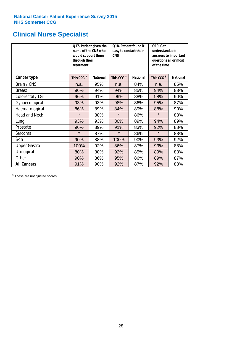### **Clinical Nurse Specialist**

|                      | would support them<br>through their<br>treatment | Q17. Patient given the<br>name of the CNS who | Q18. Patient found it<br>easy to contact their<br><b>CNS</b> |                 | <b>Q19. Get</b><br>understandable<br>answers to important<br>questions all or most<br>of the time |                 |
|----------------------|--------------------------------------------------|-----------------------------------------------|--------------------------------------------------------------|-----------------|---------------------------------------------------------------------------------------------------|-----------------|
| <b>Cancer type</b>   | This CCG <sup>\$</sup>                           | <b>National</b>                               | This CCG <sup>\$</sup>                                       | <b>National</b> | This CCG <sup>\$</sup>                                                                            | <b>National</b> |
| Brain / CNS          | n.a.                                             | 95%                                           | n.a.                                                         | 84%             | n.a.                                                                                              | 85%             |
| <b>Breast</b>        | 96%                                              | 94%                                           | 94%                                                          | 85%             | 94%                                                                                               | 88%             |
| Colorectal / LGT     | 96%                                              | 91%                                           | 99%                                                          | 88%             | 98%                                                                                               | 90%             |
| Gynaecological       | 93%                                              | 93%                                           | 98%                                                          | 86%             | 95%                                                                                               | 87%             |
| Haematological       | 86%                                              | 89%                                           | 84%                                                          | 89%             | 88%                                                                                               | 90%             |
| <b>Head and Neck</b> | $\star$                                          | 88%                                           | $\star$                                                      | 86%             | $\star$                                                                                           | 88%             |
| Lung                 | 93%                                              | 93%                                           | 80%                                                          | 89%             | 94%                                                                                               | 89%             |
| Prostate             | 96%                                              | 89%                                           | 91%                                                          | 83%             | 92%                                                                                               | 88%             |
| Sarcoma              | $\star$                                          | 87%                                           | $\star$                                                      | 86%             | $\star$                                                                                           | 88%             |
| Skin                 | 90%                                              | 88%                                           | 100%                                                         | 90%             | 93%                                                                                               | 92%             |
| <b>Upper Gastro</b>  | 100%                                             | 92%                                           | 86%                                                          | 87%             | 93%                                                                                               | 88%             |
| Urological           | 80%                                              | 80%                                           | 92%                                                          | 85%             | 89%                                                                                               | 88%             |
| Other                | 90%                                              | 86%                                           | 95%                                                          | 86%             | 89%                                                                                               | 87%             |
| <b>All Cancers</b>   | 91%                                              | 90%                                           | 92%                                                          | 87%             | 92%                                                                                               | 88%             |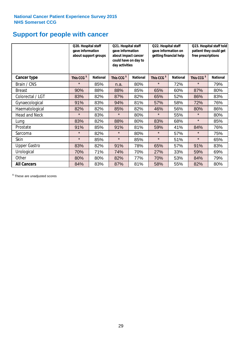### **Support for people with cancer**

|                      | Q20. Hospital staff<br>gave information | about support groups | Q21. Hospital staff<br>gave information<br>about impact cancer<br>could have on day to<br>day activities |                 | Q22. Hospital staff<br>gave information on<br>getting financial help |                 | Q23. Hospital staff told<br>patient they could get<br>free prescriptions |                 |
|----------------------|-----------------------------------------|----------------------|----------------------------------------------------------------------------------------------------------|-----------------|----------------------------------------------------------------------|-----------------|--------------------------------------------------------------------------|-----------------|
| <b>Cancer type</b>   | This CCG <sup>\$</sup>                  | <b>National</b>      | This CCG <sup>\$</sup>                                                                                   | <b>National</b> | This CCG <sup>\$</sup>                                               | <b>National</b> | This CCG <sup>\$</sup>                                                   | <b>National</b> |
| Brain / CNS          | $\star$                                 | 85%                  | n.a.                                                                                                     | 80%             | $\star$                                                              | 72%             | $\star$                                                                  | 79%             |
| <b>Breast</b>        | 90%                                     | 88%                  | 88%                                                                                                      | 85%             | 65%                                                                  | 60%             | 87%                                                                      | 80%             |
| Colorectal / LGT     | 83%                                     | 82%                  | 87%                                                                                                      | 82%             | 65%                                                                  | 52%             | 86%                                                                      | 83%             |
| Gynaecological       | 91%                                     | 83%                  | 94%                                                                                                      | 81%             | 57%                                                                  | 58%             | 72%                                                                      | 76%             |
| Haematological       | 82%                                     | 82%                  | 85%                                                                                                      | 82%             | 46%                                                                  | 56%             | 80%                                                                      | 86%             |
| <b>Head and Neck</b> | $\star$                                 | 83%                  | $\star$                                                                                                  | 80%             | $\star$                                                              | 55%             | $\star$                                                                  | 80%             |
| Lung                 | 83%                                     | 82%                  | 88%                                                                                                      | 80%             | 83%                                                                  | 68%             | $\star$                                                                  | 85%             |
| Prostate             | 91%                                     | 85%                  | 91%                                                                                                      | 81%             | 59%                                                                  | 41%             | 84%                                                                      | 76%             |
| Sarcoma              | $\star$                                 | 82%                  | $\star$                                                                                                  | 80%             | $\star$                                                              | 57%             | $\star$                                                                  | 75%             |
| Skin                 | $\star$                                 | 85%                  | $\star$                                                                                                  | 85%             | $\star$                                                              | 51%             | $\star$                                                                  | 65%             |
| <b>Upper Gastro</b>  | 83%                                     | 82%                  | 91%                                                                                                      | 78%             | 65%                                                                  | 57%             | 91%                                                                      | 83%             |
| Urological           | 70%                                     | 71%                  | 74%                                                                                                      | 70%             | 27%                                                                  | 33%             | 59%                                                                      | 69%             |
| Other                | 80%                                     | 80%                  | 82%                                                                                                      | 77%             | 70%                                                                  | 53%             | 84%                                                                      | 79%             |
| <b>All Cancers</b>   | 84%                                     | 83%                  | 87%                                                                                                      | 81%             | 58%                                                                  | 55%             | 82%                                                                      | 80%             |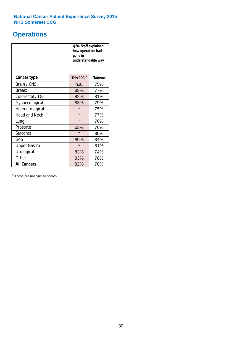### **Operations**

|                      | Q26. Staff explained<br>how operation had<br>gone in<br>understandable way |                 |  |  |
|----------------------|----------------------------------------------------------------------------|-----------------|--|--|
| <b>Cancer type</b>   | This CCG <sup>\$</sup>                                                     | <b>National</b> |  |  |
| Brain / CNS          | n.a.                                                                       | 75%             |  |  |
| <b>Breast</b>        | 83%                                                                        | 77%             |  |  |
| Colorectal / LGT     | 82%                                                                        | 81%             |  |  |
| Gynaecological       | 83%                                                                        | 79%             |  |  |
| Haematological       | $\star$<br>75%                                                             |                 |  |  |
| <b>Head and Neck</b> | $\star$                                                                    | 77%             |  |  |
| Lung                 | $\star$                                                                    | 76%             |  |  |
| Prostate             | 63%                                                                        | 76%             |  |  |
| Sarcoma              | $\star$                                                                    | 80%             |  |  |
| Skin                 | 89%                                                                        | 84%             |  |  |
| <b>Upper Gastro</b>  | $\star$                                                                    | 81%             |  |  |
| Urological           | 83%                                                                        | 74%             |  |  |
| Other                | 83%<br>78%                                                                 |                 |  |  |
| <b>All Cancers</b>   | 82%                                                                        | 78%             |  |  |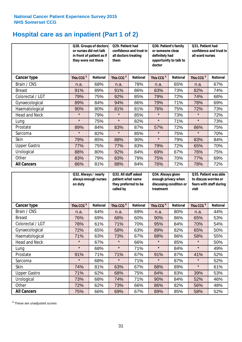# **Hospital care as an inpatient (Part 1 of 2)**

|                      | or nurses did not talk<br>they were not there | Q28. Groups of doctors<br>in front of patient as if | Q29. Patient had<br>confidence and trust in<br>all doctors treating<br>them |                 | Q30. Patient's family<br>or someone close<br>definitely had<br>opportunity to talk to<br>doctor |                 | Q31. Patient had<br>confidence and trust in I<br>all ward nurses |                 |
|----------------------|-----------------------------------------------|-----------------------------------------------------|-----------------------------------------------------------------------------|-----------------|-------------------------------------------------------------------------------------------------|-----------------|------------------------------------------------------------------|-----------------|
| Cancer type          | This CCG <sup>\$</sup>                        | <b>National</b>                                     | This CCG <sup>\$</sup>                                                      | <b>National</b> | This CCG <sup>\$</sup>                                                                          | <b>National</b> | This CCG <sup>\$</sup>                                           | <b>National</b> |
| Brain / CNS          | n.a.                                          | 68%                                                 | n.a.                                                                        | 78%             | n.a.                                                                                            | 65%             | n.a.                                                             | 67%             |
| <b>Breast</b>        | 91%                                           | 89%                                                 | 91%                                                                         | 86%             | 83%                                                                                             | 73%             | 82%                                                              | 74%             |
| Colorectal / LGT     | 79%                                           | 75%                                                 | 92%                                                                         | 85%             | 79%                                                                                             | 72%             | 74%                                                              | 68%             |
| Gynaecological       | 89%                                           | 84%                                                 | 94%                                                                         | 86%             | 79%                                                                                             | 71%             | 78%                                                              | 69%             |
| Haematological       | 90%                                           | 80%                                                 | 81%                                                                         | 81%             | 76%                                                                                             | 75%             | 72%                                                              | 73%             |
| <b>Head and Neck</b> | $\star$                                       | 79%                                                 | $\star$                                                                     | 85%             | $\star$                                                                                         | 73%             | $\star$                                                          | 72%             |
| Lung                 | $\star$                                       | 75%                                                 | $\star$                                                                     | 82%             | $\star$                                                                                         | 71%             | $\star$                                                          | 73%             |
| Prostate             | 89%                                           | 84%                                                 | 83%                                                                         | 87%             | 57%                                                                                             | 72%             | 86%                                                              | 75%             |
| Sarcoma              | $\star$                                       | 82%                                                 | $\star$                                                                     | 85%             | $\star$                                                                                         | 75%             | $\star$                                                          | 70%             |
| Skin                 | 79%                                           | 85%                                                 | 88%                                                                         | 90%             | $\star$                                                                                         | 79%             | 83%                                                              | 84%             |
| <b>Upper Gastro</b>  | 77%                                           | 75%                                                 | 77%                                                                         | 83%             | 79%                                                                                             | 72%             | 65%                                                              | 70%             |
| Urological           | 88%                                           | 80%                                                 | 92%                                                                         | 84%             | 69%                                                                                             | 67%             | 76%                                                              | 75%             |
| Other                | 83%                                           | 79%                                                 | 83%                                                                         | 79%             | 75%                                                                                             | 70%             | 77%                                                              | 69%             |
| <b>All Cancers</b>   | 86%                                           | 81%                                                 | 88%                                                                         | 84%             | 76%                                                                                             | 72%             | 78%                                                              | 72%             |

|                      | Q32. Always / nearly<br>always enough nurses<br>on duty |                 | Q33. All staff asked<br>patient what name<br>they preferred to be<br>called by |                 | Q34. Always given<br>enough privacy when<br>discussing condition or<br>treatment |                 | Q35. Patient was able<br>to discuss worries or<br>fears with staff during<br>visit |                 |
|----------------------|---------------------------------------------------------|-----------------|--------------------------------------------------------------------------------|-----------------|----------------------------------------------------------------------------------|-----------------|------------------------------------------------------------------------------------|-----------------|
| <b>Cancer type</b>   | This CCG <sup>\$</sup>                                  | <b>National</b> | This CCG <sup>\$</sup>                                                         | <b>National</b> | This CCG <sup>\$</sup>                                                           | <b>National</b> | This CCG <sup>\$</sup>                                                             | <b>National</b> |
| Brain / CNS          | n.a.                                                    | 64%             | n.a.                                                                           | 69%             | n.a.                                                                             | 80%             | n.a.                                                                               | 44%             |
| <b>Breast</b>        | 76%                                                     | 69%             | 68%                                                                            | 60%             | 90%                                                                              | 86%             | 65%                                                                                | 53%             |
| Colorectal / LGT     | 78%                                                     | 61%             | 71%                                                                            | 70%             | 95%                                                                              | 84%             | 70%                                                                                | 54%             |
| Gynaecological       | 72%                                                     | 65%             | 58%                                                                            | 63%             | 89%                                                                              | 82%             | 65%                                                                                | 50%             |
| Haematological       | 71%                                                     | 63%             | 73%                                                                            | 67%             | 88%                                                                              | 86%             | 58%                                                                                | 55%             |
| <b>Head and Neck</b> | $\star$                                                 | 67%             | $\star$                                                                        | 66%             | $\star$                                                                          | 85%             | $\star$                                                                            | 50%             |
| Lung                 | $\star$                                                 | 68%             | $\star$                                                                        | 71%             | $\star$                                                                          | 84%             | $\star$                                                                            | 49%             |
| Prostate             | 91%                                                     | 71%             | 71%                                                                            | 67%             | 91%                                                                              | 87%             | 41%                                                                                | 52%             |
| Sarcoma              | $\star$                                                 | 68%             | $\star$                                                                        | 71%             | $\star$                                                                          | 87%             | $\star$                                                                            | 52%             |
| Skin                 | 74%                                                     | 81%             | 63%                                                                            | 67%             | 88%                                                                              | 89%             | $\star$                                                                            | 61%             |
| <b>Upper Gastro</b>  | 71%                                                     | 62%             | 68%                                                                            | 75%             | 84%                                                                              | 83%             | 39%                                                                                | 53%             |
| Urological           | 73%                                                     | 68%             | 74%                                                                            | 71%             | 90%                                                                              | 84%             | 52%                                                                                | 46%             |
| Other                | 72%                                                     | 62%             | 73%                                                                            | 66%             | 86%                                                                              | 82%             | 56%                                                                                | 48%             |
| <b>All Cancers</b>   | 75%                                                     | 66%             | 69%                                                                            | 67%             | 89%                                                                              | 85%             | 58%                                                                                | 52%             |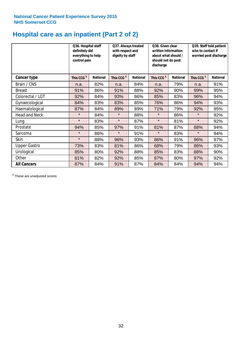# **Hospital care as an inpatient (Part 2 of 2)**

|                      | Q36. Hospital staff<br>definitely did<br>everything to help<br>control pain |                 | Q37. Always treated<br>with respect and<br>dignity by staff |                 | Q38. Given clear<br>written information<br>about what should /<br>should not do post<br>discharge |                 | Q39. Staff told patient<br>who to contact if<br>worried post discharge |                 |
|----------------------|-----------------------------------------------------------------------------|-----------------|-------------------------------------------------------------|-----------------|---------------------------------------------------------------------------------------------------|-----------------|------------------------------------------------------------------------|-----------------|
| Cancer type          | This CCG <sup>\$</sup>                                                      | <b>National</b> | This CCG <sup>\$</sup>                                      | <b>National</b> | This CCG <sup>\$</sup>                                                                            | <b>National</b> | This CCG <sup>\$</sup>                                                 | <b>National</b> |
| Brain / CNS          | n.a.                                                                        | 82%             | n.a.                                                        | 84%             | n.a.                                                                                              | 79%             | n.a.                                                                   | 91%             |
| <b>Breast</b>        | 91%                                                                         | 86%             | 91%                                                         | 88%             | 92%                                                                                               | 90%             | 99%                                                                    | 95%             |
| Colorectal / LGT     | 92%                                                                         | 84%             | 93%                                                         | 86%             | 85%                                                                                               | 83%             | 96%                                                                    | 94%             |
| Gynaecological       | 84%                                                                         | 83%             | 83%                                                         | 85%             | 76%                                                                                               | 86%             | 94%                                                                    | 93%             |
| Haematological       | 87%                                                                         | 84%             | 89%                                                         | 89%             | 71%                                                                                               | 79%             | 92%                                                                    | 95%             |
| <b>Head and Neck</b> | $\star$                                                                     | 84%             | $\star$                                                     | 88%             | $\star$                                                                                           | 86%             | $\star$                                                                | 92%             |
| Lung                 | $\star$                                                                     | 83%             | $\star$                                                     | 87%             | $\star$                                                                                           | 81%             | $\star$                                                                | 92%             |
| Prostate             | 94%                                                                         | 85%             | 97%                                                         | 91%             | 81%                                                                                               | 87%             | 88%                                                                    | 94%             |
| Sarcoma              | $\star$                                                                     | 86%             | $\star$                                                     | 91%             | $\star$                                                                                           | 83%             | $\star$                                                                | 94%             |
| Skin                 | $\star$                                                                     | 88%             | 96%                                                         | 93%             | 86%                                                                                               | 91%             | 96%                                                                    | 97%             |
| <b>Upper Gastro</b>  | 73%                                                                         | 83%             | 81%                                                         | 86%             | 68%                                                                                               | 79%             | 86%                                                                    | 93%             |
| Urological           | 85%                                                                         | 80%             | 92%                                                         | 88%             | 85%                                                                                               | 83%             | 88%                                                                    | 90%             |
| Other                | 81%                                                                         | 82%             | 92%                                                         | 85%             | 87%                                                                                               | 80%             | 97%                                                                    | 92%             |
| <b>All Cancers</b>   | 87%                                                                         | 84%             | 91%                                                         | 87%             | 84%                                                                                               | 84%             | 94%                                                                    | 94%             |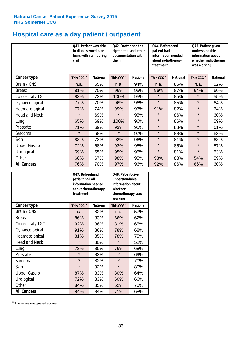# **Hospital care as a day patient / outpatient**

|                      | to discuss worries or<br>visit | Q41. Patient was able<br>fears with staff during | Q42. Doctor had the<br>right notes and other<br>documentation with<br>them |                 | Q44. Beforehand<br>patient had all<br>information needed<br>about radiotherapy<br>treatment |                 | Q45. Patient given<br>understandable<br>information about<br>whether radiotherapy<br>was working |                 |
|----------------------|--------------------------------|--------------------------------------------------|----------------------------------------------------------------------------|-----------------|---------------------------------------------------------------------------------------------|-----------------|--------------------------------------------------------------------------------------------------|-----------------|
| Cancer type          | This CCG <sup>\$</sup>         | <b>National</b>                                  | This CCG <sup>\$</sup>                                                     | <b>National</b> | This CCG <sup>\$</sup>                                                                      | <b>National</b> | This CCG <sup>\$</sup>                                                                           | <b>National</b> |
| Brain / CNS          | n.a.                           | 65%                                              | n.a.                                                                       | 94%             | n.a.                                                                                        | 85%             | n.a.                                                                                             | 52%             |
| <b>Breast</b>        | 81%                            | 70%                                              | 96%                                                                        | 95%             | 96%                                                                                         | 87%             | 64%                                                                                              | 60%             |
| Colorectal / LGT     | 83%                            | 73%                                              | 100%                                                                       | 95%             | $\star$                                                                                     | 85%             | $\star$                                                                                          | 55%             |
| Gynaecological       | 77%                            | 70%                                              | 96%                                                                        | 96%             | $\star$                                                                                     | 85%             | $\star$                                                                                          | 64%             |
| Haematological       | 77%                            | 74%                                              | 99%                                                                        | 97%             | 91%                                                                                         | 82%             | $\star$                                                                                          | 64%             |
| <b>Head and Neck</b> | $\star$                        | 69%                                              | $\star$                                                                    | 95%             | $\star$                                                                                     | 86%             | $\star$                                                                                          | 60%             |
| Lung                 | 65%                            | 69%                                              | 100%                                                                       | 96%             | $\star$                                                                                     | 86%             | $\star$                                                                                          | 59%             |
| Prostate             | 71%                            | 69%                                              | 93%                                                                        | 95%             | $\star$                                                                                     | 88%             | $\star$                                                                                          | 61%             |
| Sarcoma              | $\star$                        | 68%                                              | $\star$                                                                    | 97%             | $\star$                                                                                     | 88%             | $\star$                                                                                          | 63%             |
| Skin                 | 88%                            | 73%                                              | 92%                                                                        | 96%             | $\star$                                                                                     | 81%             | $\star$                                                                                          | 63%             |
| <b>Upper Gastro</b>  | 72%                            | 68%                                              | 93%                                                                        | 95%             | $\star$                                                                                     | 85%             | $\star$                                                                                          | 57%             |
| Urological           | 69%                            | 65%                                              | 95%                                                                        | 95%             | $\star$                                                                                     | 81%             | $\star$                                                                                          | 53%             |
| Other                | 68%                            | 67%                                              | 98%                                                                        | 95%             | 93%                                                                                         | 83%             | 54%                                                                                              | 59%             |
| <b>All Cancers</b>   | 76%                            | 70%                                              | 97%                                                                        | 96%             | 92%                                                                                         | 86%             | 66%                                                                                              | 60%             |

|                      | O47. Beforehand<br>patient had all<br>information needed<br>treatment | about chemotherapy | Q48. Patient given<br>understandable<br>information about<br>whether<br>chemotherapy was<br>working |                 |
|----------------------|-----------------------------------------------------------------------|--------------------|-----------------------------------------------------------------------------------------------------|-----------------|
| <b>Cancer type</b>   | This CCG <sup>\$</sup>                                                | <b>National</b>    | This CCG <sup>\$</sup>                                                                              | <b>National</b> |
| Brain / CNS          | n.a.                                                                  | 82%                | n.a.                                                                                                | 57%             |
| <b>Breast</b>        | 86%                                                                   | 83%                | 66%                                                                                                 | 62%             |
| Colorectal / LGT     | 92%                                                                   | 86%                | 81%                                                                                                 | 65%             |
| Gynaecological       | 91%<br>86%                                                            |                    | 78%                                                                                                 | 68%             |
| Haematological       | 81%                                                                   | 85%                |                                                                                                     | 75%             |
| <b>Head and Neck</b> | $\star$                                                               | 80%                | $\star$                                                                                             | 52%             |
| Lung                 | 73%                                                                   | 85%                | 76%                                                                                                 | 68%             |
| Prostate             | $\star$                                                               | 83%                | $\star$                                                                                             | 69%             |
| Sarcoma              | $\star$                                                               | 82%                | $\star$                                                                                             | 70%             |
| Skin                 | $\star$                                                               | 92%                | $\star$                                                                                             | 80%             |
| <b>Upper Gastro</b>  | 87%                                                                   | 83%                | 80%                                                                                                 | 64%             |
| Urological           | 72%                                                                   | 83%                | 60%                                                                                                 | 66%             |
| Other                | 84%                                                                   | 85%                | 52%                                                                                                 | 70%             |
| <b>All Cancers</b>   | 84%                                                                   | 84%                | 71%                                                                                                 | 68%             |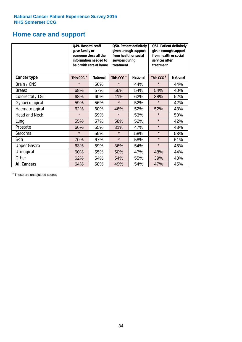### **Home care and support**

|                      | Q49. Hospital staff<br>gave family or | someone close all the<br>information needed to<br>help with care at home | Q50. Patient definitely<br>given enough support<br>from health or social<br>services during<br>treatment |                 | Q51. Patient definitely<br>given enough support<br>from health or social<br>services after<br>treatment |                 |  |
|----------------------|---------------------------------------|--------------------------------------------------------------------------|----------------------------------------------------------------------------------------------------------|-----------------|---------------------------------------------------------------------------------------------------------|-----------------|--|
| <b>Cancer type</b>   | This CCG <sup>\$</sup>                | <b>National</b>                                                          | This CCG <sup>\$</sup>                                                                                   | <b>National</b> | This CCG <sup>\$</sup>                                                                                  | <b>National</b> |  |
| Brain / CNS          | $\star$                               | 56%                                                                      | $\star$                                                                                                  | 44%             | $\star$                                                                                                 | 44%             |  |
| <b>Breast</b>        | 68%                                   | 57%                                                                      | 56%                                                                                                      | 54%             | 54%                                                                                                     | 40%             |  |
| Colorectal / LGT     | 68%                                   | 60%                                                                      | 41%                                                                                                      | 62%             | 38%                                                                                                     | 52%             |  |
| Gynaecological       | 59%                                   | 56%                                                                      | $\star$                                                                                                  | 52%             | $\star$                                                                                                 | 42%             |  |
| Haematological       | 62%                                   | 60%                                                                      | 46%                                                                                                      | 52%             | 52%                                                                                                     | 43%             |  |
| <b>Head and Neck</b> | $\star$                               | 59%                                                                      | $\star$                                                                                                  | 53%             | $\star$                                                                                                 | 50%             |  |
| Lung                 | 55%                                   | 57%                                                                      | 58%                                                                                                      | 52%             | $\star$                                                                                                 | 42%             |  |
| Prostate             | 66%                                   | 55%                                                                      | 31%                                                                                                      | 47%             | $\star$                                                                                                 | 43%             |  |
| Sarcoma              | $\star$                               | 59%                                                                      | $\star$                                                                                                  | 58%             | $\star$                                                                                                 | 53%             |  |
| Skin                 | 70%                                   | 67%                                                                      | $\star$                                                                                                  | 58%             | $\star$                                                                                                 | 61%             |  |
| <b>Upper Gastro</b>  | 63%                                   | 59%                                                                      | 36%                                                                                                      | 54%             | $\star$                                                                                                 | 45%             |  |
| Urological           | 60%                                   | 55%                                                                      | 50%                                                                                                      | 47%             | 48%                                                                                                     | 44%             |  |
| Other                | 62%                                   | 54%                                                                      | 54%                                                                                                      | 55%             | 39%                                                                                                     | 48%             |  |
| <b>All Cancers</b>   | 64%                                   | 58%                                                                      | 49%                                                                                                      | 54%             | 47%                                                                                                     | 45%             |  |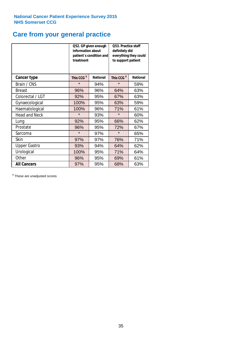# **Care from your general practice**

|                      | information about<br>treatment | Q52. GP given enough<br>patient's condition and | <b>O53. Practice staff</b><br>definitely did<br>everything they could<br>to support patient |                 |  |
|----------------------|--------------------------------|-------------------------------------------------|---------------------------------------------------------------------------------------------|-----------------|--|
| <b>Cancer type</b>   | This CCG <sup>\$</sup>         | <b>National</b>                                 | This CCG <sup>\$</sup>                                                                      | <b>National</b> |  |
| Brain / CNS          | $\star$                        | 94%                                             | $\star$                                                                                     | 59%             |  |
| <b>Breast</b>        | 96%                            | 96%                                             | 64%                                                                                         | 63%             |  |
| Colorectal / LGT     | 92%                            | 95%                                             | 67%                                                                                         | 63%             |  |
| Gynaecological       | 100%                           | 95%                                             | 63%                                                                                         | 59%             |  |
| Haematological       | 100%                           | 96%                                             | 71%                                                                                         | 61%             |  |
| <b>Head and Neck</b> | $\star$                        | 93%                                             | $\star$                                                                                     | 60%             |  |
| Lung                 | 92%                            | 95%                                             | 66%                                                                                         | 62%             |  |
| Prostate             | 96%                            | 95%                                             | 72%                                                                                         | 67%             |  |
| Sarcoma              | $\star$                        | 97%                                             | $\star$                                                                                     | 65%             |  |
| <b>Skin</b>          | 97%                            | 97%                                             | 76%                                                                                         | 71%             |  |
| <b>Upper Gastro</b>  | 93%                            | 94%                                             | 64%                                                                                         | 62%             |  |
| Urological           | 100%                           | 95%                                             | 71%                                                                                         | 64%             |  |
| Other                | 96%                            | 95%                                             | 69%                                                                                         | 61%             |  |
| <b>All Cancers</b>   | 97%                            | 95%                                             | 68%                                                                                         | 63%             |  |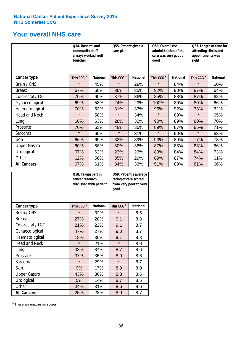### **Your overall NHS care**

|                      | Q54. Hospital and<br>community staff<br>always worked well<br>together |                 | care plan              | Q55. Patient given a<br>good |                        | Q56. Overall the<br>administration of the<br>care was very good / |                        | Q57. Length of time for<br>attending clinics and<br>appointments was<br>right |  |
|----------------------|------------------------------------------------------------------------|-----------------|------------------------|------------------------------|------------------------|-------------------------------------------------------------------|------------------------|-------------------------------------------------------------------------------|--|
| <b>Cancer type</b>   | This CCG <sup>\$</sup>                                                 | <b>National</b> | This CCG <sup>\$</sup> | <b>National</b>              | This CCG <sup>\$</sup> | <b>National</b>                                                   | This CCG <sup>\$</sup> | <b>National</b>                                                               |  |
| Brain / CNS          | $\star$                                                                | 45%             | $\star$                | 29%                          | $\star$                | 84%                                                               | $\star$                | 60%                                                                           |  |
| <b>Breast</b>        | 67%                                                                    | 60%             | 36%                    | 35%                          | 92%                    | 90%                                                               | 87%                    | 64%                                                                           |  |
| Colorectal / LGT     | 70%                                                                    | 60%             | 37%                    | 36%                          | 85%                    | 88%                                                               | 87%                    | 68%                                                                           |  |
| Gynaecological       | 69%                                                                    | 58%             | 24%                    | 29%                          | 100%                   | 89%                                                               | 80%                    | 66%                                                                           |  |
| Haematological       | 70%                                                                    | 63%             | 31%                    | 33%                          | 96%                    | 92%                                                               | 73%                    | 62%                                                                           |  |
| <b>Head and Neck</b> | $\star$                                                                | 58%             | $\star$                | 34%                          | $\star$                | 89%                                                               | $\star$                | 65%                                                                           |  |
| Lung                 | 68%                                                                    | 63%             | 28%                    | 32%                          | 90%                    | 89%                                                               | 80%                    | 70%                                                                           |  |
| Prostate             | 70%                                                                    | 63%             | 48%                    | 36%                          | 89%                    | 87%                                                               | 85%                    | 71%                                                                           |  |
| Sarcoma              | $\star$                                                                | 60%             | $\star$                | 31%                          | $\star$                | 90%                                                               | $\star$                | 63%                                                                           |  |
| Skin                 | 66%                                                                    | 69%             | 32%                    | 39%                          | 93%                    | 89%                                                               | 77%                    | 73%                                                                           |  |
| <b>Upper Gastro</b>  | 60%                                                                    | 58%             | 30%                    | 36%                          | 87%                    | 88%                                                               | 83%                    | 66%                                                                           |  |
| Urological           | 67%                                                                    | 62%             | 23%                    | 26%                          | 89%                    | 84%                                                               | 84%                    | 73%                                                                           |  |
| Other                | 62%                                                                    | 56%             | 35%                    | 29%                          | 89%                    | 87%                                                               | 74%                    | 61%                                                                           |  |
| <b>All Cancers</b>   | 67%                                                                    | 61%             | 34%                    | 33%                          | 91%                    | 89%                                                               | 81%                    | 66%                                                                           |  |

|                      | Q58. Taking part in<br>cancer research | discussed with patient | Q59. Patient's average<br>rating of care scored<br>from very poor to very<br>good |                 |  |
|----------------------|----------------------------------------|------------------------|-----------------------------------------------------------------------------------|-----------------|--|
| <b>Cancer type</b>   | This CCG <sup>\$</sup>                 | <b>National</b>        | This CCG <sup>\$</sup>                                                            | <b>National</b> |  |
| Brain / CNS          | $\star$                                | 32%                    | $\star$                                                                           | 8.5             |  |
| <b>Breast</b>        | 27%                                    | 28%                    | 9.1                                                                               | 8.8             |  |
| Colorectal / LGT     | 21%                                    | 22%                    | 9.1                                                                               | 8.7             |  |
| Gynaecological       | 47%<br>27%                             |                        | 9.0                                                                               | 8.7             |  |
| Haematological       | 18%                                    | 36%                    | 9.1                                                                               | 8.8             |  |
| <b>Head and Neck</b> | $\star$                                | 21%                    | $\star$                                                                           | 8.6             |  |
| Lung                 | 33%                                    | 34%                    | 8.7                                                                               | 8.6             |  |
| Prostate             | 37%                                    | 35%                    | 8.9                                                                               | 8.6             |  |
| Sarcoma              | $\star$                                | 29%                    | $\star$                                                                           | 8.7             |  |
| Skin                 | 9%                                     | 17%                    | 8.9                                                                               | 8.9             |  |
| <b>Upper Gastro</b>  | 43%                                    | 30%                    | 8.8                                                                               | 8.6             |  |
| Urological           | 5%                                     | 14%                    | 8.7                                                                               | 8.5             |  |
| Other                | 34%                                    | 31%                    | 8.6                                                                               | 8.6             |  |
| <b>All Cancers</b>   | 25%                                    | 28%                    | 8.9                                                                               | 8.7             |  |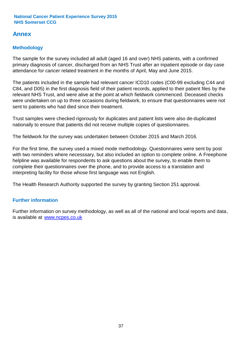### **Annex**

### **Methodology**

The sample for the survey included all adult (aged 16 and over) NHS patients, with a confirmed primary diagnosis of cancer, discharged from an NHS Trust after an inpatient episode or day case attendance for cancer related treatment in the months of April, May and June 2015.

The patients included in the sample had relevant cancer ICD10 codes (C00-99 excluding C44 and C84, and D05) in the first diagnosis field of their patient records, applied to their patient files by the relevant NHS Trust, and were alive at the point at which fieldwork commenced. Deceased checks were undertaken on up to three occasions during fieldwork, to ensure that questionnaires were not sent to patients who had died since their treatment.

Trust samples were checked rigorously for duplicates and patient lists were also de-duplicated nationally to ensure that patients did not receive multiple copies of questionnaires.

The fieldwork for the survey was undertaken between October 2015 and March 2016.

For the first time, the survey used a mixed mode methodology. Questionnaires were sent by post with two reminders where necesssary, but also included an option to complete online. A Freephone helpline was available for respondents to ask questions about the survey, to enable them to complete their questionnaires over the phone, and to provide access to a translation and interpreting facility for those whose first language was not English.

The Health Research Authority supported the survey by granting Section 251 approval.

#### **Further information**

Further information on survey methodology, as well as all of the national and local reports and data, is available at www.ncpes.co.uk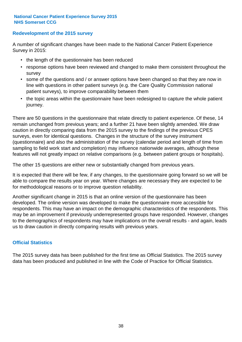#### **Redevelopment of the 2015 survey**

A number of significant changes have been made to the National Cancer Patient Experience Survey in 2015:

- the length of the questionnaire has been reduced
- response options have been reviewed and changed to make them consistent throughout the survey
- some of the questions and / or answer options have been changed so that they are now in line with questions in other patient surveys (e.g. the Care Quality Commission national patient surveys), to improve comparability between them
- the topic areas within the questionnaire have been redesigned to capture the whole patient journey.

There are 50 questions in the questionnaire that relate directly to patient experience. Of these, 14 remain unchanged from previous years; and a further 21 have been slightly amended. We draw caution in directly comparing data from the 2015 survey to the findings of the previous CPES surveys, even for identical questions. Changes in the structure of the survey instrument (questionnaire) and also the administration of the survey (calendar period and length of time from sampling to field work start and completion) may influence nationwide averages, although these features will not greatly impact on relative comparisons (e.g. between patient groups or hospitals).

The other 15 questions are either new or substantially changed from previous years.

It is expected that there will be few, if any changes, to the questionnaire going forward so we will be able to compare the results year on year. Where changes are necessary they are expected to be for methodological reasons or to improve question reliability.

Another significant change in 2015 is that an online version of the questionnaire has been developed. The online version was developed to make the questionnaire more accessible for respondents. This may have an impact on the demographic characteristics of the respondents. This may be an improvement if previously underrepresented groups have responded. However, changes to the demographics of respondents may have implications on the overall results - and again, leads us to draw caution in directly comparing results with previous years.

#### **Official Statistics**

The 2015 survey data has been published for the first time as Official Statistics. The 2015 survey data has been produced and published in line with the Code of Practice for Official Statistics.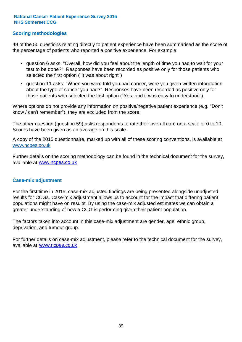#### **Scoring methodologies**

49 of the 50 questions relating directly to patient experience have been summarised as the score of the percentage of patients who reported a positive experience. For example:

- question 6 asks: "Overall, how did you feel about the length of time you had to wait for your test to be done?". Responses have been recorded as positive only for those patients who selected the first option ("It was about right")
- question 11 asks: "When you were told you had cancer, were you given written information about the type of cancer you had?". Responses have been recorded as positive only for those patients who selected the first option ("Yes, and it was easy to understand").

Where options do not provide any information on positive/negative patient experience (e.g. "Don't know / can't remember"), they are excluded from the score.

The other question (question 59) asks respondents to rate their overall care on a scale of 0 to 10. Scores have been given as an average on this scale.

A copy of the 2015 questionnaire, marked up with all of these scoring conventions, is available at www.ncpes.co.uk

Further details on the scoring methodology can be found in the technical document for the survey, available at <u>www.ncpes.co.uk</u>

#### **Case-mix adjustment**

For the first time in 2015, case-mix adjusted findings are being presented alongside unadjusted results for CCGs. Case-mix adjustment allows us to account for the impact that differing patient populations might have on results. By using the case-mix adjusted estimates we can obtain a greater understanding of how a CCG is performing given their patient population.

The factors taken into account in this case-mix adjustment are gender, age, ethnic group, deprivation, and tumour group.

For further details on case-mix adjustment, please refer to the technical document for the survey, available at www.ncpes.co.uk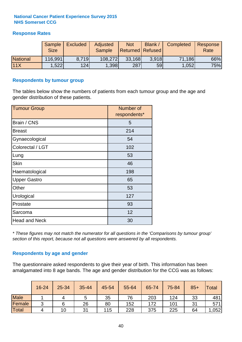#### **Response Rates**

|                 | Sample<br><b>Size</b> | <b>Excluded</b> | Adjusted<br><b>Sample</b> | <b>Not</b><br><b>Returned Refused</b> | Blank / | Completed | Response<br>Rate |
|-----------------|-----------------------|-----------------|---------------------------|---------------------------------------|---------|-----------|------------------|
| <b>National</b> | 116,991               | 8,719           | 108,272                   | 33,168                                | 3.918   | 71,186    | 66%              |
| 11X             | .522                  | 124             | 1,398                     | 287                                   | 59      | 1,052     | 75%              |

#### **Respondents by tumour group**

The tables below show the numbers of patients from each tumour group and the age and gender distribution of these patients.

| <b>Tumour Group</b>  | Number of<br>respondents* |  |  |
|----------------------|---------------------------|--|--|
| Brain / CNS          | 5                         |  |  |
| <b>Breast</b>        | 214                       |  |  |
| Gynaecological       | 54                        |  |  |
| Colorectal / LGT     | 102                       |  |  |
| Lung                 | 53                        |  |  |
| <b>Skin</b>          | 46                        |  |  |
| Haematological       | 198                       |  |  |
| <b>Upper Gastro</b>  | 65                        |  |  |
| Other                | 53                        |  |  |
| Urological           | 127                       |  |  |
| Prostate             | 93                        |  |  |
| Sarcoma              | 12                        |  |  |
| <b>Head and Neck</b> | 30                        |  |  |

*\* These figures may not match the numerator for all questions in the 'Comparisons by tumour group' section of this report, because not all questions were answered by all respondents.*

#### **Respondents by age and gender**

The questionnaire asked respondents to give their year of birth. This information has been amalgamated into 8 age bands. The age and gender distribution for the CCG was as follows:

|             | 16-24  | 25-34 | 35-44 | 45-54 | 55-64 | 65-74 | 75-84 | $85+$ | <b>Total</b> |
|-------------|--------|-------|-------|-------|-------|-------|-------|-------|--------------|
| <b>Male</b> |        | 4     | 5     | 35    | 76    | 203   | 124   | 33    | 481          |
| Female      | ◠<br>ັ | 6     | 26    | 80    | 152   | 172   | 101   | 31    | 571          |
| Total       | 4      | 10    | 31    | 115   | 228   | 375   | 225   | 64    | ,052         |